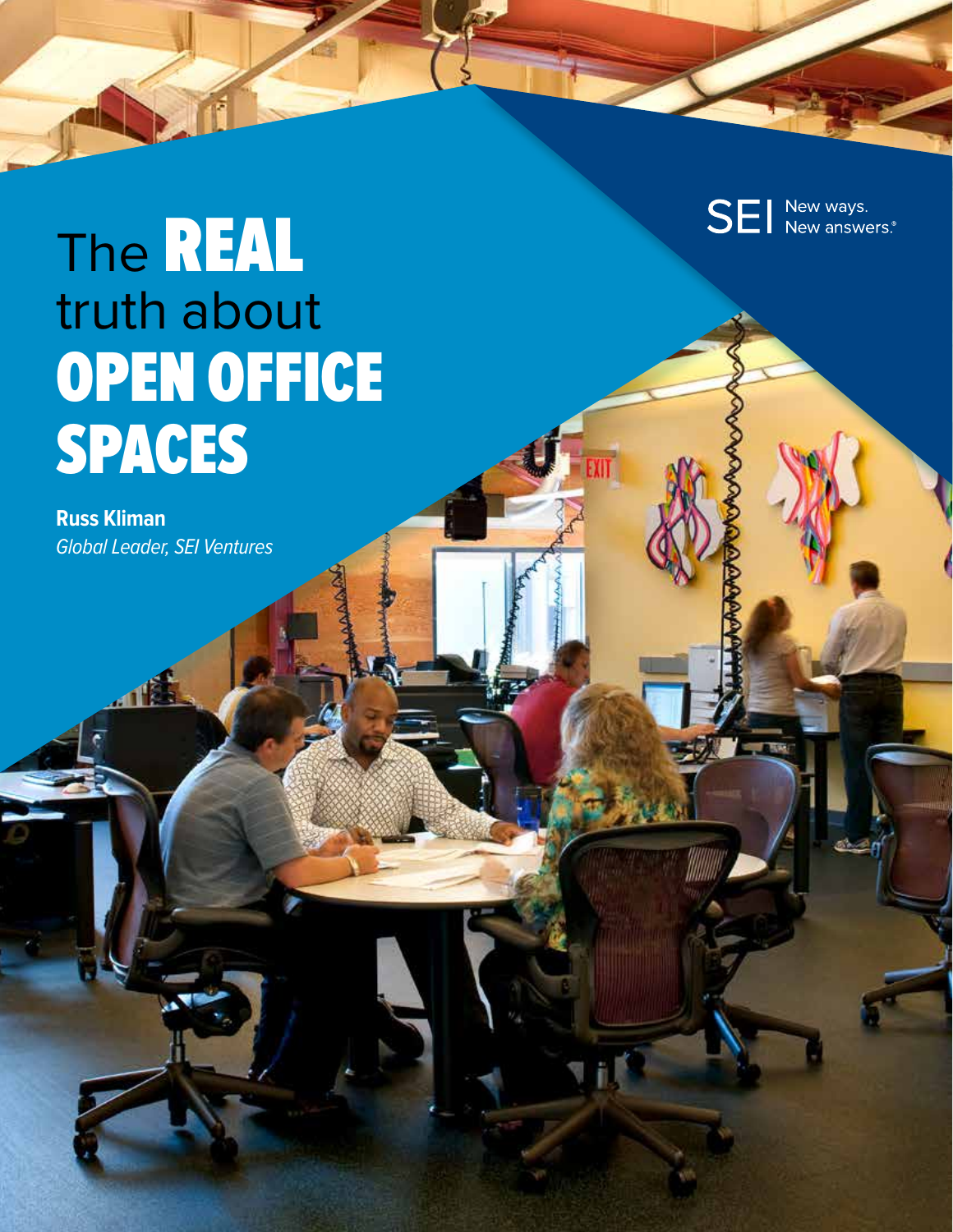**SEI** New ways.

**YIT** 

### The REAL truth about OPEN OFFICE SPACES

**Russ Kliman** Global Leader, SEI Ventures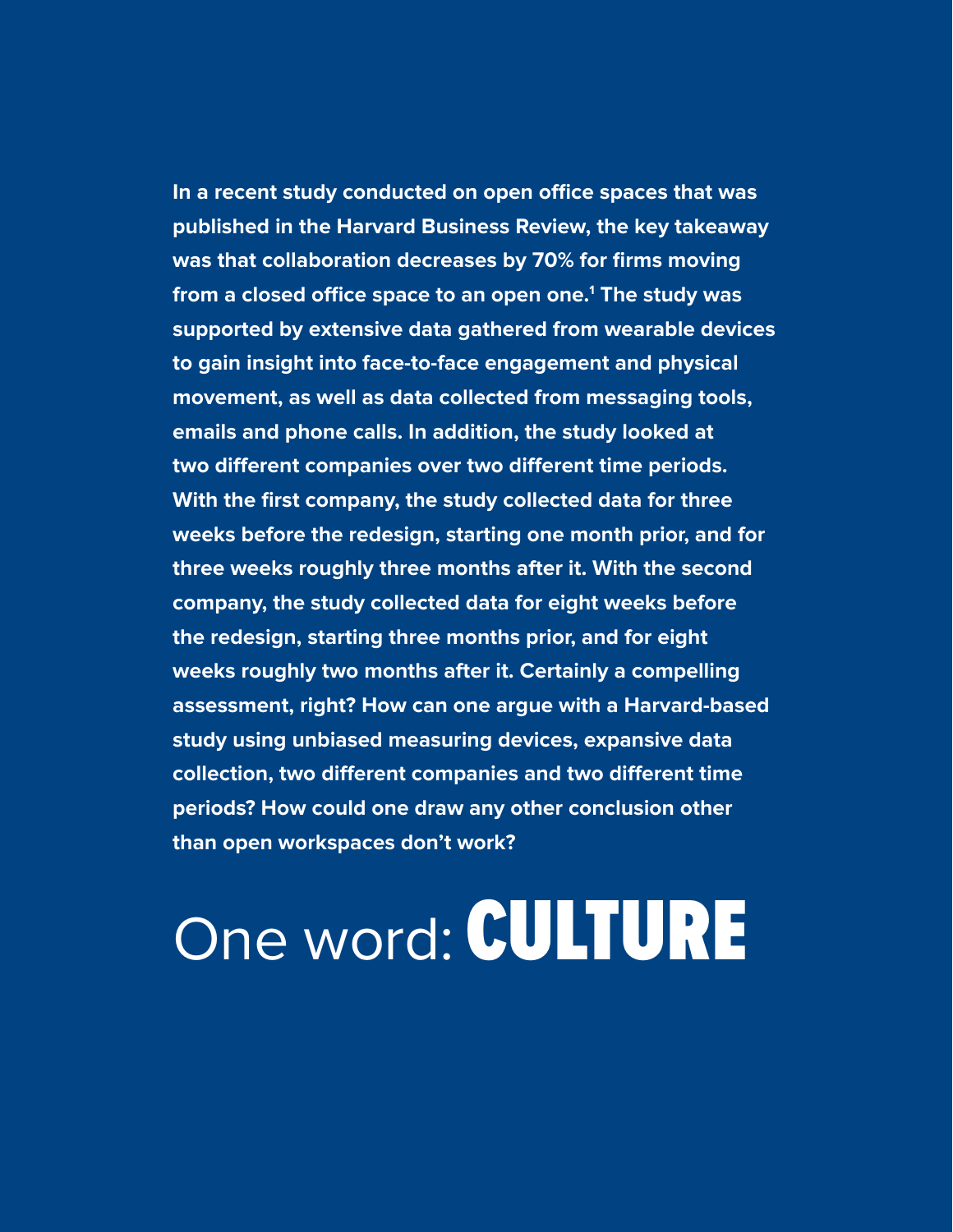**In a recent study conducted on open office spaces that was published in the Harvard Business Review, the key takeaway was that collaboration decreases by 70% for firms moving from a closed office space to an open one.1 The study was supported by extensive data gathered from wearable devices to gain insight into face-to-face engagement and physical movement, as well as data collected from messaging tools, emails and phone calls. In addition, the study looked at two different companies over two different time periods. With the first company, the study collected data for three weeks before the redesign, starting one month prior, and for three weeks roughly three months after it. With the second company, the study collected data for eight weeks before the redesign, starting three months prior, and for eight weeks roughly two months after it. Certainly a compelling assessment, right? How can one argue with a Harvard-based study using unbiased measuring devices, expansive data collection, two different companies and two different time periods? How could one draw any other conclusion other than open workspaces don't work?**

# One word: CULTURE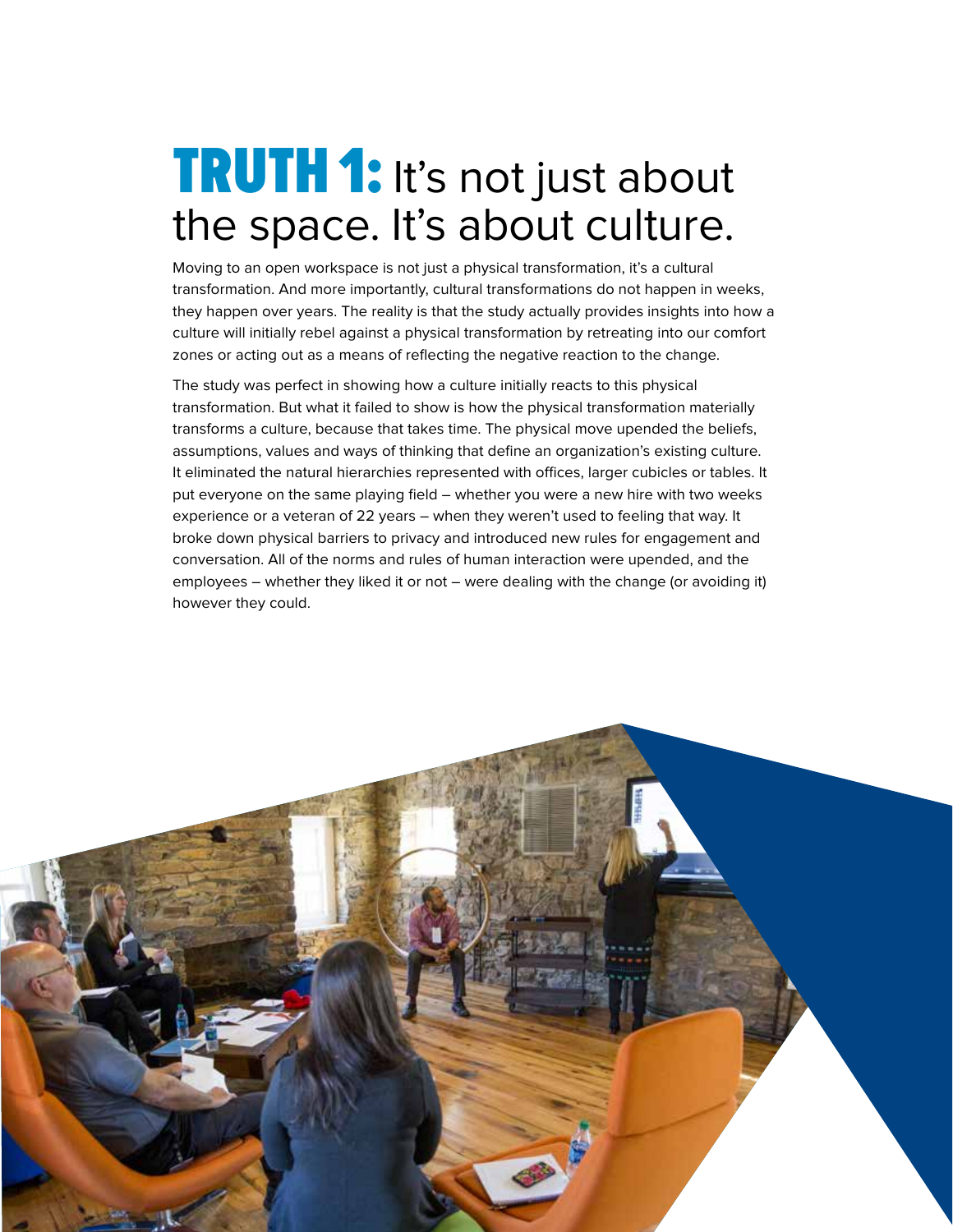#### **TRUTH 1:** It's not just about the space. It's about culture.

Moving to an open workspace is not just a physical transformation, it's a cultural transformation. And more importantly, cultural transformations do not happen in weeks, they happen over years. The reality is that the study actually provides insights into how a culture will initially rebel against a physical transformation by retreating into our comfort zones or acting out as a means of reflecting the negative reaction to the change.

The study was perfect in showing how a culture initially reacts to this physical transformation. But what it failed to show is how the physical transformation materially transforms a culture, because that takes time. The physical move upended the beliefs, assumptions, values and ways of thinking that define an organization's existing culture. It eliminated the natural hierarchies represented with offices, larger cubicles or tables. It put everyone on the same playing field – whether you were a new hire with two weeks experience or a veteran of 22 years – when they weren't used to feeling that way. It broke down physical barriers to privacy and introduced new rules for engagement and conversation. All of the norms and rules of human interaction were upended, and the employees – whether they liked it or not – were dealing with the change (or avoiding it) however they could.

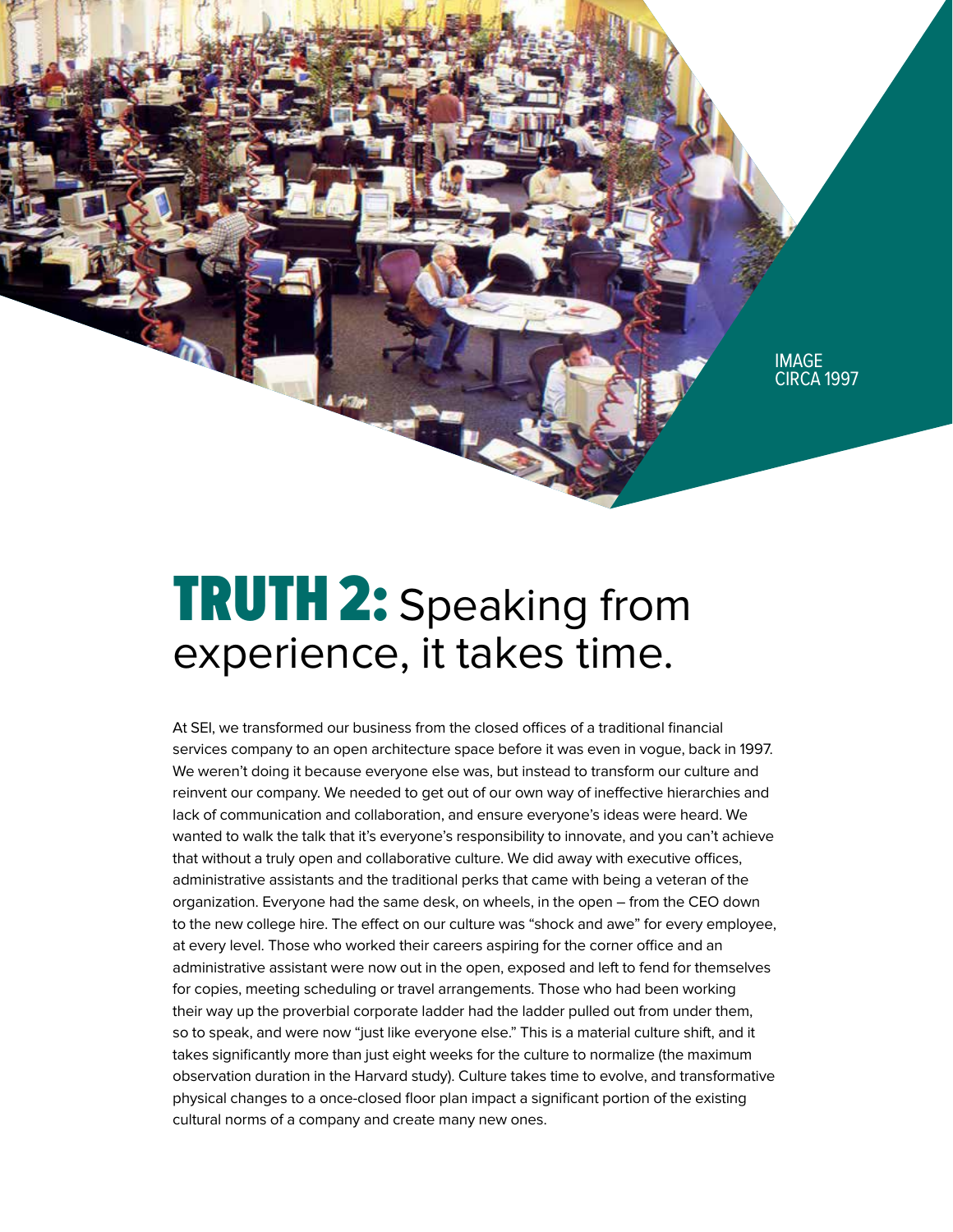

#### **TRUTH 2: Speaking from** experience, it takes time.

At SEI, we transformed our business from the closed offices of a traditional financial services company to an open architecture space before it was even in vogue, back in 1997. We weren't doing it because everyone else was, but instead to transform our culture and reinvent our company. We needed to get out of our own way of ineffective hierarchies and lack of communication and collaboration, and ensure everyone's ideas were heard. We wanted to walk the talk that it's everyone's responsibility to innovate, and you can't achieve that without a truly open and collaborative culture. We did away with executive offices, administrative assistants and the traditional perks that came with being a veteran of the organization. Everyone had the same desk, on wheels, in the open – from the CEO down to the new college hire. The effect on our culture was "shock and awe" for every employee, at every level. Those who worked their careers aspiring for the corner office and an administrative assistant were now out in the open, exposed and left to fend for themselves for copies, meeting scheduling or travel arrangements. Those who had been working their way up the proverbial corporate ladder had the ladder pulled out from under them, so to speak, and were now "just like everyone else." This is a material culture shift, and it takes significantly more than just eight weeks for the culture to normalize (the maximum observation duration in the Harvard study). Culture takes time to evolve, and transformative physical changes to a once-closed floor plan impact a significant portion of the existing cultural norms of a company and create many new ones.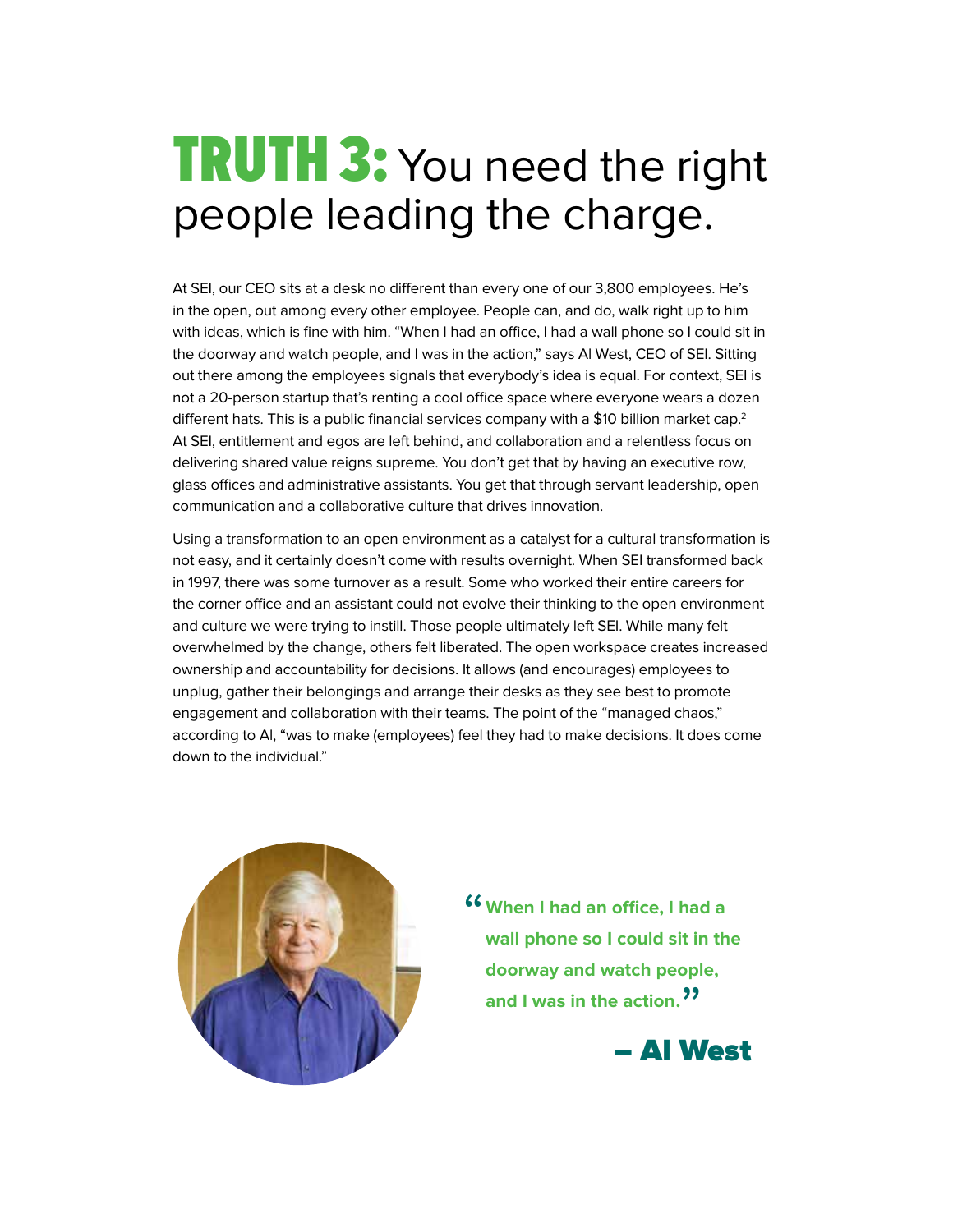#### **TRUTH 3: You need the right** people leading the charge.

At SEI, our CEO sits at a desk no different than every one of our 3,800 employees. He's in the open, out among every other employee. People can, and do, walk right up to him with ideas, which is fine with him. "When I had an office, I had a wall phone so I could sit in the doorway and watch people, and I was in the action," says Al West, CEO of SEI. Sitting out there among the employees signals that everybody's idea is equal. For context, SEI is not a 20-person startup that's renting a cool office space where everyone wears a dozen different hats. This is a public financial services company with a \$10 billion market cap.<sup>2</sup> At SEI, entitlement and egos are left behind, and collaboration and a relentless focus on delivering shared value reigns supreme. You don't get that by having an executive row, glass offices and administrative assistants. You get that through servant leadership, open communication and a collaborative culture that drives innovation.

Using a transformation to an open environment as a catalyst for a cultural transformation is not easy, and it certainly doesn't come with results overnight. When SEI transformed back in 1997, there was some turnover as a result. Some who worked their entire careers for the corner office and an assistant could not evolve their thinking to the open environment and culture we were trying to instill. Those people ultimately left SEI. While many felt overwhelmed by the change, others felt liberated. The open workspace creates increased ownership and accountability for decisions. It allows (and encourages) employees to unplug, gather their belongings and arrange their desks as they see best to promote engagement and collaboration with their teams. The point of the "managed chaos," according to Al, "was to make (employees) feel they had to make decisions. It does come down to the individual."



"**When I had an office, I had a wall phone so I could sit in the doorway and watch people,**  and I was in the action.<sup>99</sup>

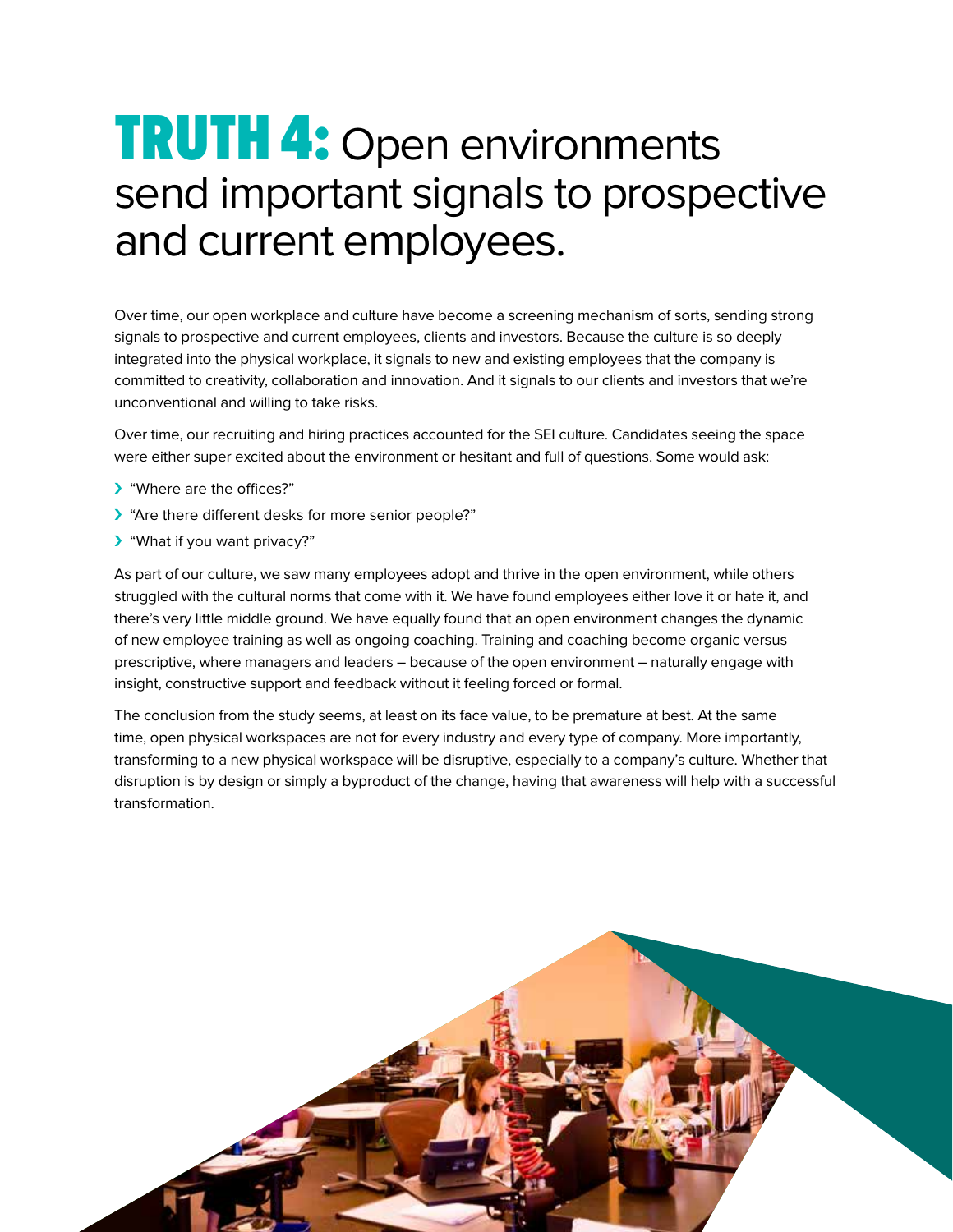#### **TRUTH 4:** Open environments send important signals to prospective and current employees.

Over time, our open workplace and culture have become a screening mechanism of sorts, sending strong signals to prospective and current employees, clients and investors. Because the culture is so deeply integrated into the physical workplace, it signals to new and existing employees that the company is committed to creativity, collaboration and innovation. And it signals to our clients and investors that we're unconventional and willing to take risks.

Over time, our recruiting and hiring practices accounted for the SEI culture. Candidates seeing the space were either super excited about the environment or hesitant and full of questions. Some would ask:

- › "Where are the offices?"
- › "Are there different desks for more senior people?"
- › "What if you want privacy?"

As part of our culture, we saw many employees adopt and thrive in the open environment, while others struggled with the cultural norms that come with it. We have found employees either love it or hate it, and there's very little middle ground. We have equally found that an open environment changes the dynamic of new employee training as well as ongoing coaching. Training and coaching become organic versus prescriptive, where managers and leaders – because of the open environment – naturally engage with insight, constructive support and feedback without it feeling forced or formal.

The conclusion from the study seems, at least on its face value, to be premature at best. At the same time, open physical workspaces are not for every industry and every type of company. More importantly, transforming to a new physical workspace will be disruptive, especially to a company's culture. Whether that disruption is by design or simply a byproduct of the change, having that awareness will help with a successful transformation.